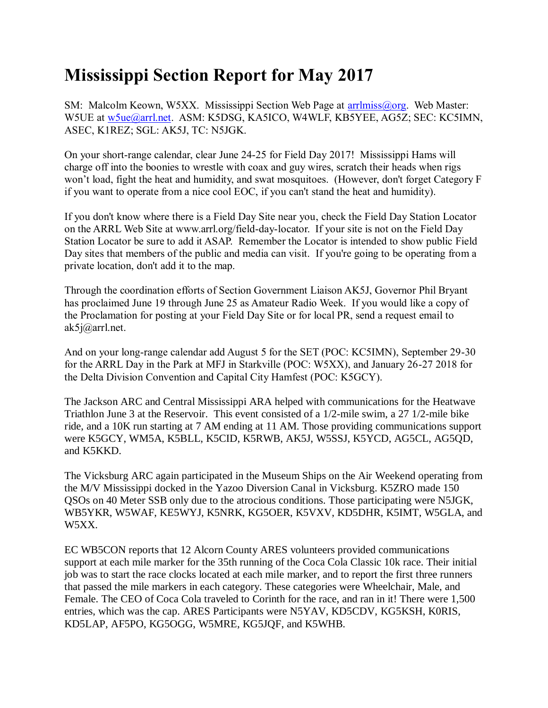## **Mississippi Section Report for May 2017**

SM: Malcolm Keown, W5XX. Mississippi Section Web Page at [arrlmiss@org.](mailto:arrlmiss@org) Web Master: W5UE at [w5ue@arrl.net.](mailto:w5ue@arrl.net) ASM: K5DSG, KA5ICO, W4WLF, KB5YEE, AG5Z; SEC: KC5IMN, ASEC, K1REZ; SGL: AK5J, TC: N5JGK.

On your short-range calendar, clear June 24-25 for Field Day 2017! Mississippi Hams will charge off into the boonies to wrestle with coax and guy wires, scratch their heads when rigs won't load, fight the heat and humidity, and swat mosquitoes. (However, don't forget Category F if you want to operate from a nice cool EOC, if you can't stand the heat and humidity).

If you don't know where there is a Field Day Site near you, check the Field Day Station Locator on the ARRL Web Site at www.arrl.org/field-day-locator. If your site is not on the Field Day Station Locator be sure to add it ASAP. Remember the Locator is intended to show public Field Day sites that members of the public and media can visit. If you're going to be operating from a private location, don't add it to the map.

Through the coordination efforts of Section Government Liaison AK5J, Governor Phil Bryant has proclaimed June 19 through June 25 as Amateur Radio Week. If you would like a copy of the Proclamation for posting at your Field Day Site or for local PR, send a request email to ak5j@arrl.net.

And on your long-range calendar add August 5 for the SET (POC: KC5IMN), September 29-30 for the ARRL Day in the Park at MFJ in Starkville (POC: W5XX), and January 26-27 2018 for the Delta Division Convention and Capital City Hamfest (POC: K5GCY).

The Jackson ARC and Central Mississippi ARA helped with communications for the Heatwave Triathlon June 3 at the Reservoir. This event consisted of a 1/2-mile swim, a 27 1/2-mile bike ride, and a 10K run starting at 7 AM ending at 11 AM. Those providing communications support were K5GCY, WM5A, K5BLL, K5CID, K5RWB, AK5J, W5SSJ, K5YCD, AG5CL, AG5QD, and K5KKD.

The Vicksburg ARC again participated in the Museum Ships on the Air Weekend operating from the M/V Mississippi docked in the Yazoo Diversion Canal in Vicksburg. K5ZRO made 150 QSOs on 40 Meter SSB only due to the atrocious conditions. Those participating were N5JGK, WB5YKR, W5WAF, KE5WYJ, K5NRK, KG5OER, K5VXV, KD5DHR, K5IMT, W5GLA, and W5XX.

EC WB5CON reports that 12 Alcorn County ARES volunteers provided communications support at each mile marker for the 35th running of the Coca Cola Classic 10k race. Their initial job was to start the race clocks located at each mile marker, and to report the first three runners that passed the mile markers in each category. These categories were Wheelchair, Male, and Female. The CEO of Coca Cola traveled to Corinth for the race, and ran in it! There were 1,500 entries, which was the cap. ARES Participants were N5YAV, KD5CDV, KG5KSH, K0RIS, KD5LAP, AF5PO, KG5OGG, W5MRE, KG5JQF, and K5WHB.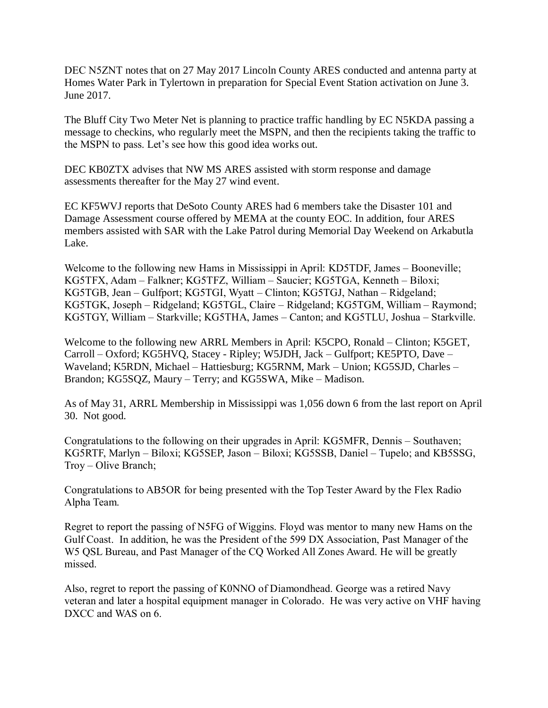DEC N5ZNT notes that on 27 May 2017 Lincoln County ARES conducted and antenna party at Homes Water Park in Tylertown in preparation for Special Event Station activation on June 3. June 2017.

The Bluff City Two Meter Net is planning to practice traffic handling by EC N5KDA passing a message to checkins, who regularly meet the MSPN, and then the recipients taking the traffic to the MSPN to pass. Let's see how this good idea works out.

DEC KB0ZTX advises that NW MS ARES assisted with storm response and damage assessments thereafter for the May 27 wind event.

EC KF5WVJ reports that DeSoto County ARES had 6 members take the Disaster 101 and Damage Assessment course offered by MEMA at the county EOC. In addition, four ARES members assisted with SAR with the Lake Patrol during Memorial Day Weekend on Arkabutla Lake.

Welcome to the following new Hams in Mississippi in April: KD5TDF, James – Booneville; KG5TFX, Adam – Falkner; KG5TFZ, William – Saucier; KG5TGA, Kenneth – Biloxi; KG5TGB, Jean – Gulfport; KG5TGI, Wyatt – Clinton; KG5TGJ, Nathan – Ridgeland; KG5TGK, Joseph – Ridgeland; KG5TGL, Claire – Ridgeland; KG5TGM, William – Raymond; KG5TGY, William – Starkville; KG5THA, James – Canton; and KG5TLU, Joshua – Starkville.

Welcome to the following new ARRL Members in April: K5CPO, Ronald – Clinton; K5GET, Carroll – Oxford; KG5HVQ, Stacey - Ripley; W5JDH, Jack – Gulfport; KE5PTO, Dave – Waveland; K5RDN, Michael – Hattiesburg; KG5RNM, Mark – Union; KG5SJD, Charles – Brandon; KG5SQZ, Maury – Terry; and KG5SWA, Mike – Madison.

As of May 31, ARRL Membership in Mississippi was 1,056 down 6 from the last report on April 30. Not good.

Congratulations to the following on their upgrades in April: KG5MFR, Dennis – Southaven; KG5RTF, Marlyn – Biloxi; KG5SEP, Jason – Biloxi; KG5SSB, Daniel – Tupelo; and KB5SSG, Troy – Olive Branch;

Congratulations to AB5OR for being presented with the Top Tester Award by the Flex Radio Alpha Team.

Regret to report the passing of N5FG of Wiggins. Floyd was mentor to many new Hams on the Gulf Coast. In addition, he was the President of the 599 DX Association, Past Manager of the W5 QSL Bureau, and Past Manager of the CQ Worked All Zones Award. He will be greatly missed.

Also, regret to report the passing of K0NNO of Diamondhead. George was a retired Navy veteran and later a hospital equipment manager in Colorado. He was very active on VHF having DXCC and WAS on 6.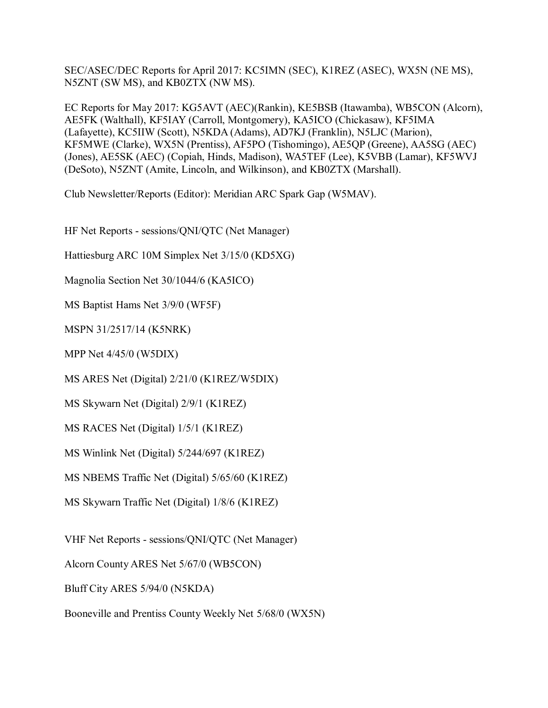SEC/ASEC/DEC Reports for April 2017: KC5IMN (SEC), K1REZ (ASEC), WX5N (NE MS), N5ZNT (SW MS), and KB0ZTX (NW MS).

EC Reports for May 2017: KG5AVT (AEC)(Rankin), KE5BSB (Itawamba), WB5CON (Alcorn), AE5FK (Walthall), KF5IAY (Carroll, Montgomery), KA5ICO (Chickasaw), KF5IMA (Lafayette), KC5IIW (Scott), N5KDA (Adams), AD7KJ (Franklin), N5LJC (Marion), KF5MWE (Clarke), WX5N (Prentiss), AF5PO (Tishomingo), AE5QP (Greene), AA5SG (AEC) (Jones), AE5SK (AEC) (Copiah, Hinds, Madison), WA5TEF (Lee), K5VBB (Lamar), KF5WVJ (DeSoto), N5ZNT (Amite, Lincoln, and Wilkinson), and KB0ZTX (Marshall).

Club Newsletter/Reports (Editor): Meridian ARC Spark Gap (W5MAV).

HF Net Reports - sessions/QNI/QTC (Net Manager)

Hattiesburg ARC 10M Simplex Net 3/15/0 (KD5XG)

Magnolia Section Net 30/1044/6 (KA5ICO)

MS Baptist Hams Net 3/9/0 (WF5F)

MSPN 31/2517/14 (K5NRK)

MPP Net 4/45/0 (W5DIX)

MS ARES Net (Digital) 2/21/0 (K1REZ/W5DIX)

MS Skywarn Net (Digital) 2/9/1 (K1REZ)

MS RACES Net (Digital) 1/5/1 (K1REZ)

MS Winlink Net (Digital) 5/244/697 (K1REZ)

MS NBEMS Traffic Net (Digital) 5/65/60 (K1REZ)

MS Skywarn Traffic Net (Digital) 1/8/6 (K1REZ)

VHF Net Reports - sessions/QNI/QTC (Net Manager)

Alcorn County ARES Net 5/67/0 (WB5CON)

Bluff City ARES 5/94/0 (N5KDA)

Booneville and Prentiss County Weekly Net 5/68/0 (WX5N)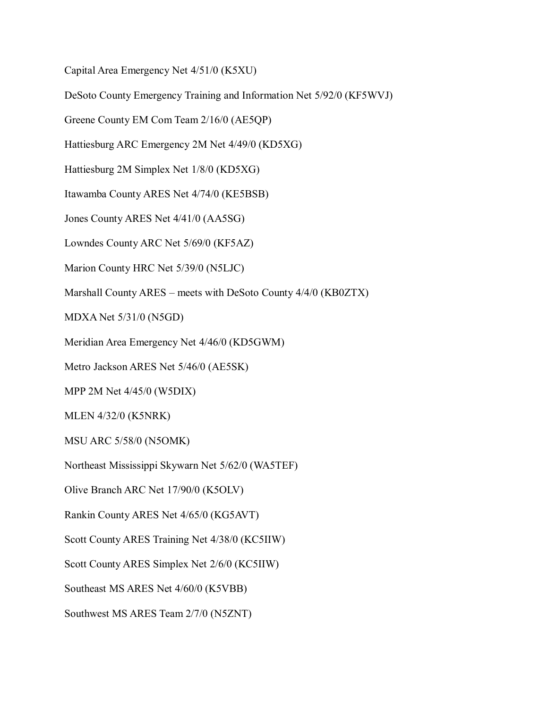Capital Area Emergency Net 4/51/0 (K5XU)

DeSoto County Emergency Training and Information Net 5/92/0 (KF5WVJ)

Greene County EM Com Team 2/16/0 (AE5QP)

Hattiesburg ARC Emergency 2M Net 4/49/0 (KD5XG)

Hattiesburg 2M Simplex Net 1/8/0 (KD5XG)

Itawamba County ARES Net 4/74/0 (KE5BSB)

Jones County ARES Net 4/41/0 (AA5SG)

Lowndes County ARC Net 5/69/0 (KF5AZ)

Marion County HRC Net 5/39/0 (N5LJC)

Marshall County ARES – meets with DeSoto County 4/4/0 (KB0ZTX)

MDXA Net 5/31/0 (N5GD)

Meridian Area Emergency Net 4/46/0 (KD5GWM)

Metro Jackson ARES Net 5/46/0 (AE5SK)

MPP 2M Net 4/45/0 (W5DIX)

MLEN 4/32/0 (K5NRK)

MSU ARC 5/58/0 (N5OMK)

Northeast Mississippi Skywarn Net 5/62/0 (WA5TEF)

Olive Branch ARC Net 17/90/0 (K5OLV)

Rankin County ARES Net 4/65/0 (KG5AVT)

Scott County ARES Training Net 4/38/0 (KC5IIW)

Scott County ARES Simplex Net 2/6/0 (KC5IIW)

Southeast MS ARES Net 4/60/0 (K5VBB)

Southwest MS ARES Team 2/7/0 (N5ZNT)